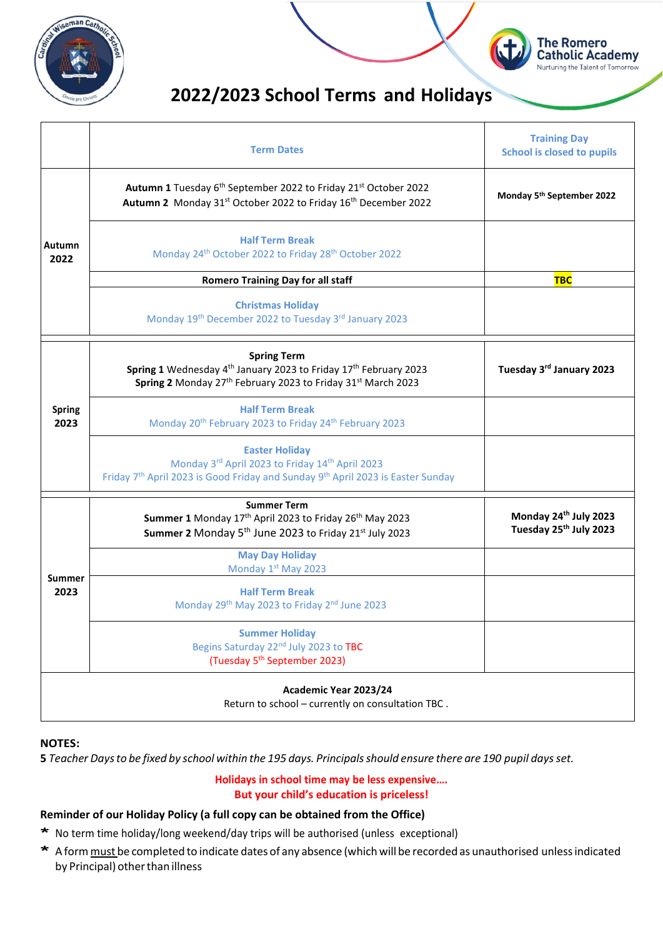



# **2022/2023 School Terms and Holidays**

|                       | <b>Term Dates</b>                                                                                                                                                                       | <b>Training Day</b><br><b>School is closed to pupils</b>    |
|-----------------------|-----------------------------------------------------------------------------------------------------------------------------------------------------------------------------------------|-------------------------------------------------------------|
|                       | Autumn 1 Tuesday 6 <sup>th</sup> September 2022 to Friday 21 <sup>st</sup> October 2022<br>Autumn 2 Monday 31st October 2022 to Friday 16th December 2022                               | Monday 5 <sup>th</sup> September 2022                       |
| Autumn<br>2022        | <b>Half Term Break</b><br>Monday 24 <sup>th</sup> October 2022 to Friday 28 <sup>th</sup> October 2022                                                                                  |                                                             |
|                       | <b>Romero Training Day for all staff</b>                                                                                                                                                | <b>TBC</b>                                                  |
|                       | <b>Christmas Holiday</b><br>Monday 19th December 2022 to Tuesday 3rd January 2023                                                                                                       |                                                             |
|                       | <b>Spring Term</b><br>Spring 1 Wednesday 4 <sup>th</sup> January 2023 to Friday 17 <sup>th</sup> February 2023<br>Spring 2 Monday 27th February 2023 to Friday 31st March 2023          | Tuesday 3rd January 2023                                    |
| <b>Spring</b><br>2023 | <b>Half Term Break</b><br>Monday 20 <sup>th</sup> February 2023 to Friday 24 <sup>th</sup> February 2023                                                                                |                                                             |
|                       | <b>Easter Holiday</b><br>Monday 3rd April 2023 to Friday 14th April 2023<br>Friday 7 <sup>th</sup> April 2023 is Good Friday and Sunday 9 <sup>th</sup> April 2023 is Easter Sunday     |                                                             |
|                       | <b>Summer Term</b><br>Summer 1 Monday 17 <sup>th</sup> April 2023 to Friday 26 <sup>th</sup> May 2023<br>Summer 2 Monday 5 <sup>th</sup> June 2023 to Friday 21 <sup>st</sup> July 2023 | Monday 24th July 2023<br>Tuesday 25 <sup>th</sup> July 2023 |
| <b>Summer</b>         | <b>May Day Holiday</b><br>Monday 1st May 2023                                                                                                                                           |                                                             |
| 2023                  | <b>Half Term Break</b><br>Monday 29th May 2023 to Friday 2nd June 2023                                                                                                                  |                                                             |
|                       | <b>Summer Holiday</b><br>Begins Saturday 22 <sup>nd</sup> July 2023 to TBC<br>(Tuesday 5 <sup>th</sup> September 2023)                                                                  |                                                             |
|                       | Academic Year 2023/24                                                                                                                                                                   |                                                             |

Return to school – currently on consultation TBC .

## **NOTES:**

5 Teacher Days to be fixed by school within the 195 days. Principals should ensure there are 190 pupil days set.

#### **Holidays in school time may be less expensive…. But your child's education is priceless!**

### **Reminder of our Holiday Policy (a full copy can be obtained from the Office)**

- \* No term time holiday/long weekend/day trips will be authorised (unless exceptional)
- \* A form must be completed to indicate dates of any absence (which will be recorded as unauthorised unless indicated by Principal) other than illness